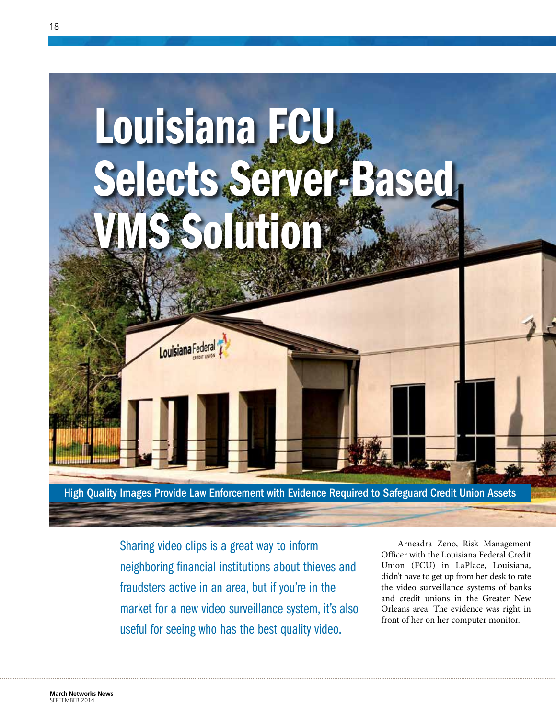

Sharing video clips is a great way to inform neighboring financial institutions about thieves and fraudsters active in an area, but if you're in the market for a new video surveillance system, it's also useful for seeing who has the best quality video.

Arneadra Zeno, Risk Management Officer with the Louisiana Federal Credit Union (FCU) in LaPlace, Louisiana, didn't have to get up from her desk to rate the video surveillance systems of banks and credit unions in the Greater New Orleans area. The evidence was right in front of her on her computer monitor.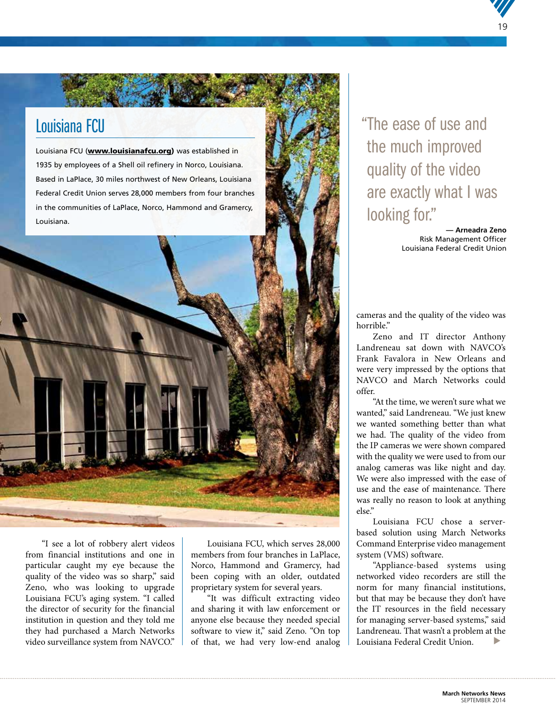## Louisiana FCU

Louisiana FCU ([www.louisianafcu.org\)](http://www.louisianafcu.org) was established in 1935 by employees of a Shell oil refinery in Norco, Louisiana. Based in LaPlace, 30 miles northwest of New Orleans, Louisiana Federal Credit Union serves 28,000 members from four branches in the communities of LaPlace, Norco, Hammond and Gramercy, Louisiana.



"I see a lot of robbery alert videos from financial institutions and one in particular caught my eye because the quality of the video was so sharp," said Zeno, who was looking to upgrade Louisiana FCU's aging system. "I called the director of security for the financial institution in question and they told me they had purchased a March Networks video surveillance system from NAVCO."

Louisiana FCU, which serves 28,000 members from four branches in LaPlace, Norco, Hammond and Gramercy, had been coping with an older, outdated proprietary system for several years.

"It was difficult extracting video and sharing it with law enforcement or anyone else because they needed special software to view it," said Zeno. "On top of that, we had very low-end analog "The ease of use and the much improved quality of the video are exactly what I was looking for."

> **— Arneadra Zeno** Risk Management Officer Louisiana Federal Credit Union

19

cameras and the quality of the video was horrible."

Zeno and IT director Anthony Landreneau sat down with NAVCO's Frank Favalora in New Orleans and were very impressed by the options that NAVCO and March Networks could offer.

"At the time, we weren't sure what we wanted," said Landreneau. "We just knew we wanted something better than what we had. The quality of the video from the IP cameras we were shown compared with the quality we were used to from our analog cameras was like night and day. We were also impressed with the ease of use and the ease of maintenance. There was really no reason to look at anything else."

Louisiana FCU chose a serverbased solution using March Networks Command Enterprise video management system (VMS) software.

"Appliance-based systems using networked video recorders are still the norm for many financial institutions, but that may be because they don't have the IT resources in the field necessary for managing server-based systems," said Landreneau. That wasn't a problem at the Louisiana Federal Credit Union. ▼

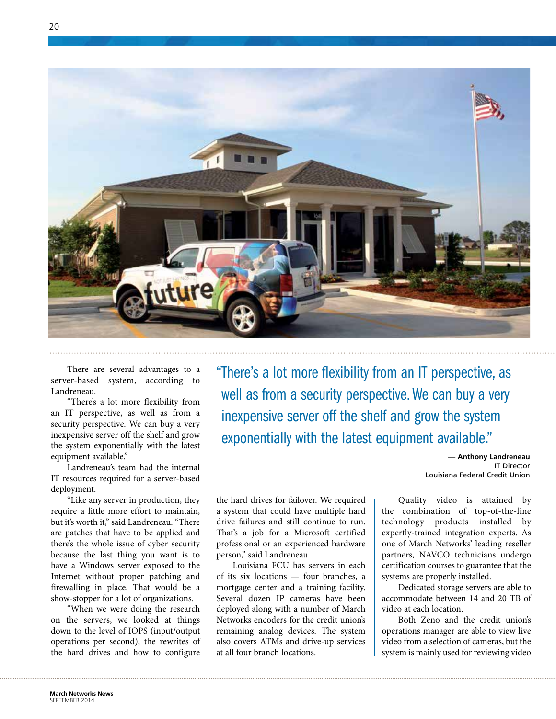

There are several advantages to a server-based system, according to Landreneau.

"There's a lot more flexibility from an IT perspective, as well as from a security perspective. We can buy a very inexpensive server off the shelf and grow the system exponentially with the latest equipment available."

Landreneau's team had the internal IT resources required for a server-based deployment.

"Like any server in production, they require a little more effort to maintain, but it's worth it," said Landreneau. "There are patches that have to be applied and there's the whole issue of cyber security because the last thing you want is to have a Windows server exposed to the Internet without proper patching and firewalling in place. That would be a show-stopper for a lot of organizations.

"When we were doing the research on the servers, we looked at things down to the level of IOPS (input/output operations per second), the rewrites of the hard drives and how to configure "There's a lot more flexibility from an IT perspective, as well as from a security perspective. We can buy a very inexpensive server off the shelf and grow the system exponentially with the latest equipment available."

> **— Anthony Landreneau** IT Director Louisiana Federal Credit Union

the hard drives for failover. We required a system that could have multiple hard drive failures and still continue to run. That's a job for a Microsoft certified professional or an experienced hardware person," said Landreneau.

Louisiana FCU has servers in each of its six locations — four branches, a mortgage center and a training facility. Several dozen IP cameras have been deployed along with a number of March Networks encoders for the credit union's remaining analog devices. The system also covers ATMs and drive-up services at all four branch locations.

Quality video is attained by the combination of top-of-the-line technology products installed by expertly-trained integration experts. As one of March Networks' leading reseller partners, NAVCO technicians undergo certification courses to guarantee that the systems are properly installed.

Dedicated storage servers are able to accommodate between 14 and 20 TB of video at each location.

Both Zeno and the credit union's operations manager are able to view live video from a selection of cameras, but the system is mainly used for reviewing video